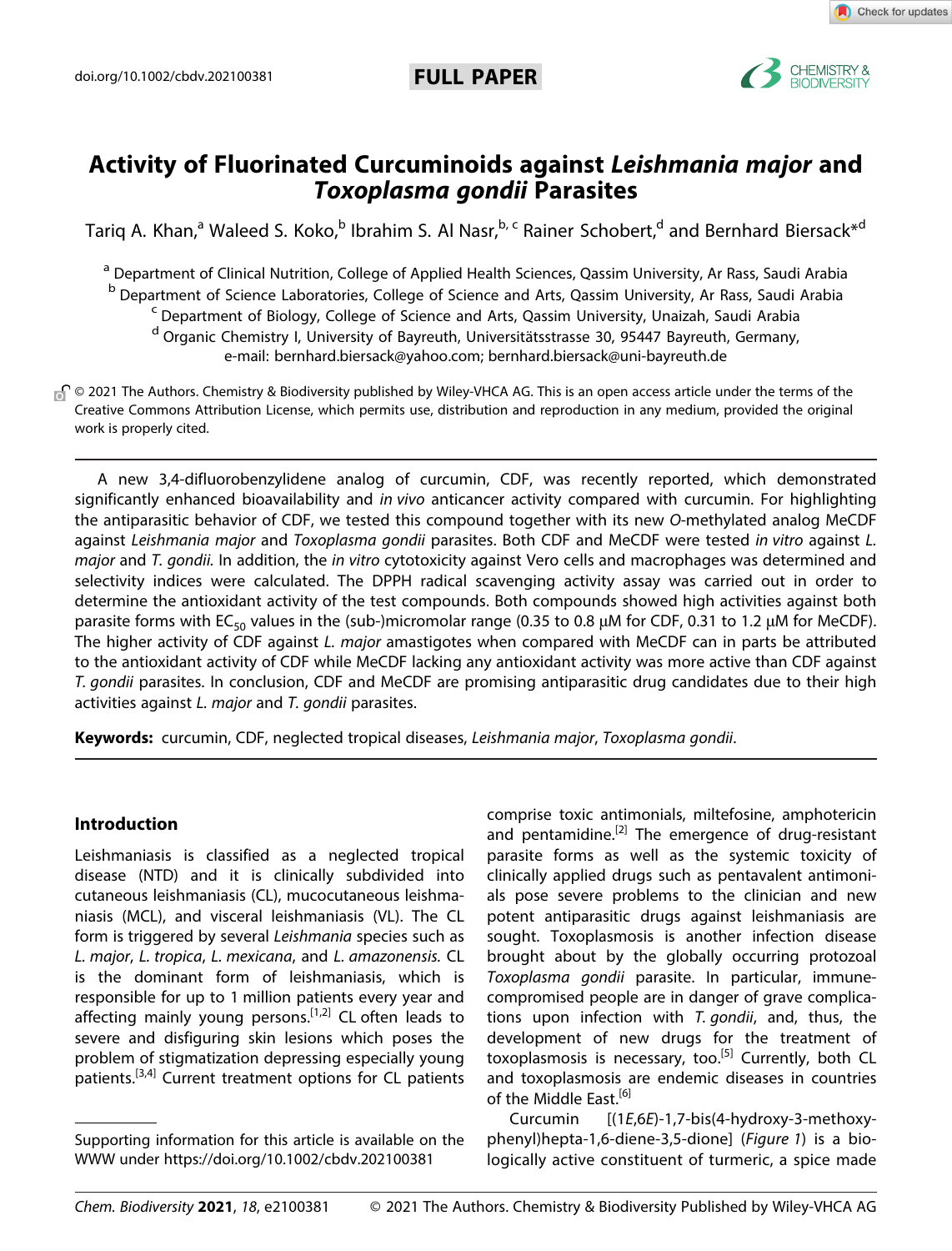

Check for updates

# **Activity of Fluorinated Curcuminoids against** *Leishmania major* **and** *Toxoplasma gondii* **Parasites**

Tariq A. Khan,<sup>a</sup> Waleed S. Koko,<sup>b</sup> Ibrahim S. Al Nasr,<sup>b, c</sup> Rainer Schobert,<sup>d</sup> and [Bernhard](http://orcid.org/0000-0001-7305-346X) Biersack<sup>\*d</sup>

<sup>a</sup> Department of Clinical Nutrition, College of Applied Health Sciences, Qassim University, Ar Rass, Saudi Arabia

<sup>b</sup> Department of Science Laboratories, College of Science and Arts, Qassim University, Ar Rass, Saudi Arabia <sup>c</sup> Department of Biology, College of Science and Arts, Qassim University, Unaizah, Saudi Arabia

<sup>d</sup> Organic Chemistry I, University of Bayreuth, Universitätsstrasse 30, 95447 Bayreuth, Germany, e-mail: bernhard.biersack@yahoo.com; bernhard.biersack@uni-bayreuth.de

<sub>®</sub> © 2021 The Authors. Chemistry & Biodiversity published by Wiley-VHCA AG. This is an open access article under the terms of the Creative Commons Attribution License, which permits use, distribution and reproduction in any medium, provided the original work is properly cited.

A new 3,4-difluorobenzylidene analog of curcumin, CDF, was recently reported, which demonstrated significantly enhanced bioavailability and *in vivo* anticancer activity compared with curcumin. For highlighting the antiparasitic behavior of CDF, we tested this compound together with its new *O*-methylated analog MeCDF against *Leishmania major* and *Toxoplasma gondii* parasites. Both CDF and MeCDF were tested *in vitro* against *L. major* and *T. gondii.* In addition, the *in vitro* cytotoxicity against Vero cells and macrophages was determined and selectivity indices were calculated. The DPPH radical scavenging activity assay was carried out in order to determine the antioxidant activity of the test compounds. Both compounds showed high activities against both parasite forms with EC<sub>50</sub> values in the (sub-)micromolar range (0.35 to 0.8  $\mu$ M for CDF, 0.31 to 1.2  $\mu$ M for MeCDF). The higher activity of CDF against *L. major* amastigotes when compared with MeCDF can in parts be attributed to the antioxidant activity of CDF while MeCDF lacking any antioxidant activity was more active than CDF against *T. gondii* parasites. In conclusion, CDF and MeCDF are promising antiparasitic drug candidates due to their high activities against *L. major* and *T. gondii* parasites.

**Keywords:** curcumin, CDF, neglected tropical diseases, *Leishmania major*, *Toxoplasma gondii*.

### **Introduction**

Leishmaniasis is classified as a neglected tropical disease (NTD) and it is clinically subdivided into cutaneous leishmaniasis (CL), mucocutaneous leishmaniasis (MCL), and visceral leishmaniasis (VL). The CL form is triggered by several *Leishmania* species such as *L. major*, *L. tropica*, *L. mexicana*, and *L. amazonensis.* CL is the dominant form of leishmaniasis, which is responsible for up to 1 million patients every year and affecting mainly young persons.<sup>[1,2]</sup> CL often leads to severe and disfiguring skin lesions which poses the problem of stigmatization depressing especially young patients.<sup>[3,4]</sup> Current treatment options for CL patients

comprise toxic antimonials, miltefosine, amphotericin and pentamidine.<sup>[2]</sup> The emergence of drug-resistant parasite forms as well as the systemic toxicity of clinically applied drugs such as pentavalent antimonials pose severe problems to the clinician and new potent antiparasitic drugs against leishmaniasis are sought. Toxoplasmosis is another infection disease brought about by the globally occurring protozoal *Toxoplasma gondii* parasite. In particular, immunecompromised people are in danger of grave complications upon infection with *T. gondii*, and, thus, the development of new drugs for the treatment of toxoplasmosis is necessary, too.<sup>[5]</sup> Currently, both CL and toxoplasmosis are endemic diseases in countries of the Middle East.<sup>[6]</sup>

Curcumin [(1*E*,6*E*)-1,7-bis(4-hydroxy-3-methoxyphenyl)hepta-1,6-diene-3,5-dione] (*Figure 1*) is a biologically active constituent of turmeric, a spice made

Supporting information for this article is available on the WWW under <https://doi.org/10.1002/cbdv.202100381>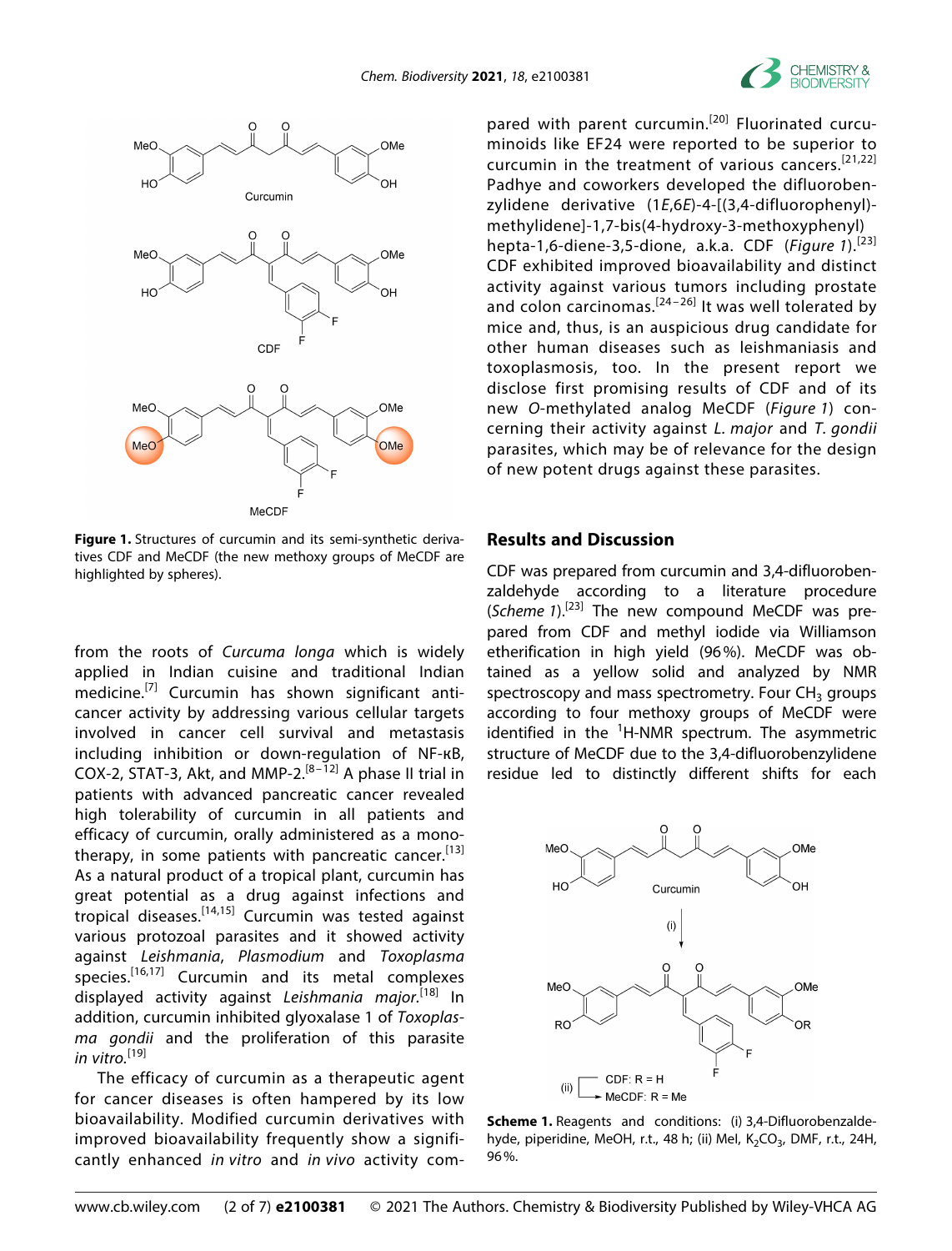



**Figure 1.** Structures of curcumin and its semi-synthetic derivatives CDF and MeCDF (the new methoxy groups of MeCDF are highlighted by spheres).

from the roots of *Curcuma longa* which is widely applied in Indian cuisine and traditional Indian medicine.<sup>[7]</sup> Curcumin has shown significant anticancer activity by addressing various cellular targets involved in cancer cell survival and metastasis including inhibition or down-regulation of NF-кB, COX-2, STAT-3, Akt, and MMP-2. $[8-\overline{1}2]$  A phase II trial in patients with advanced pancreatic cancer revealed high tolerability of curcumin in all patients and efficacy of curcumin, orally administered as a monotherapy, in some patients with pancreatic cancer.<sup>[13]</sup> As a natural product of a tropical plant, curcumin has great potential as a drug against infections and tropical diseases.[14,15] Curcumin was tested against various protozoal parasites and it showed activity against *Leishmania*, *Plasmodium* and *Toxoplasma* species.<sup>[16,17]</sup> Curcumin and its metal complexes displayed activity against *Leishmania major.*[18] In addition, curcumin inhibited glyoxalase 1 of *Toxoplasma gondii* and the proliferation of this parasite *in vitro.*[19]

The efficacy of curcumin as a therapeutic agent for cancer diseases is often hampered by its low bioavailability. Modified curcumin derivatives with improved bioavailability frequently show a significantly enhanced *in vitro* and *in vivo* activity com-

pared with parent curcumin.<sup>[20]</sup> Fluorinated curcuminoids like EF24 were reported to be superior to curcumin in the treatment of various cancers.[21,22] Padhye and coworkers developed the difluorobenzylidene derivative (1*E*,6*E*)-4-[(3,4-difluorophenyl) methylidene]-1,7-bis(4-hydroxy-3-methoxyphenyl) hepta-1,6-diene-3,5-dione, a.k.a. CDF (*Figure 1*).[23] CDF exhibited improved bioavailability and distinct activity against various tumors including prostate and colon carcinomas.<sup>[24-26]</sup> It was well tolerated by mice and, thus, is an auspicious drug candidate for other human diseases such as leishmaniasis and toxoplasmosis, too. In the present report we disclose first promising results of CDF and of its new *O*-methylated analog MeCDF (*Figure 1*) concerning their activity against *L. major* and *T. gondii* parasites, which may be of relevance for the design of new potent drugs against these parasites.

#### **Results and Discussion**

CDF was prepared from curcumin and 3,4-difluorobenzaldehyde according to a literature procedure (*Scheme 1*).[23] The new compound MeCDF was prepared from CDF and methyl iodide via Williamson etherification in high yield (96%). MeCDF was obtained as a yellow solid and analyzed by NMR spectroscopy and mass spectrometry. Four  $CH<sub>3</sub>$  groups according to four methoxy groups of MeCDF were identified in the <sup>1</sup>H-NMR spectrum. The asymmetric structure of MeCDF due to the 3,4-difluorobenzylidene residue led to distinctly different shifts for each



**Scheme 1.** Reagents and conditions: (i) 3,4-Difluorobenzaldehyde, piperidine, MeOH, r.t., 48 h; (ii) Mel,  $K_2CO_3$ , DMF, r.t., 24H, 96%.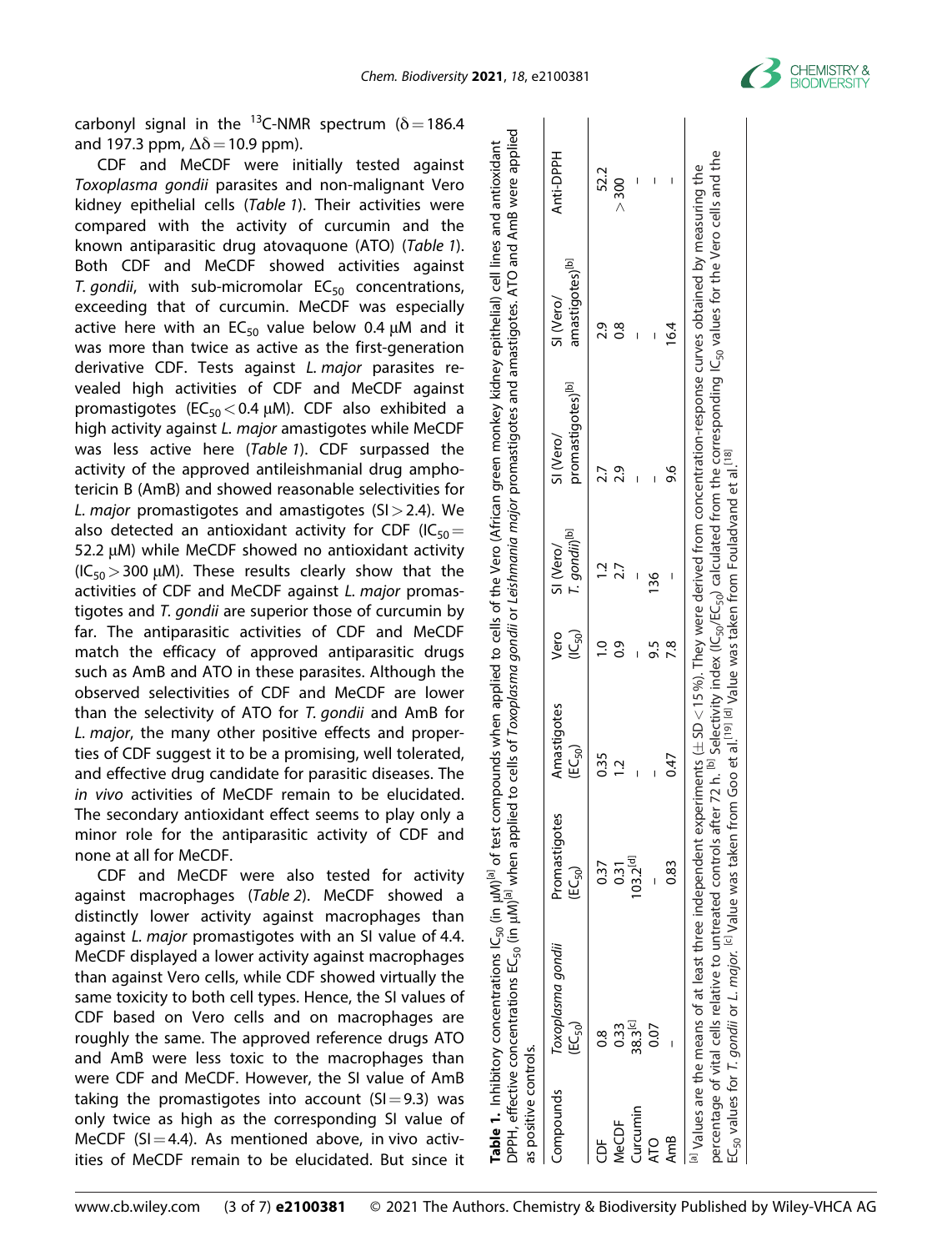

carbonyl signal in the <sup>13</sup>C-NMR spectrum ( $\delta$  = 186.4 and 197.3 ppm,  $\Delta\delta$  = 10.9 ppm).

CDF and MeCDF were initially tested against *Toxoplasma gondii* parasites and non-malignant Vero kidney epithelial cells (*Table 1*). Their activities were compared with the activity of curcumin and the known antiparasitic drug atovaquone (ATO) (*Table 1*). Both CDF and MeCDF showed activities against *T. gondii*, with sub-micromolar  $EC_{50}$  concentrations, exceeding that of curcumin. MeCDF was especially active here with an  $EC_{50}$  value below 0.4  $\mu$ M and it was more than twice as active as the first-generation derivative CDF. Tests against *L. major* parasites revealed high activities of CDF and MeCDF against promastigotes (EC<sub>50</sub> < 0.4 μM). CDF also exhibited a high activity against *L. major* amastigotes while MeCDF was less active here (*Table 1*). CDF surpassed the activity of the approved antileishmanial drug amphotericin B (AmB) and showed reasonable selectivities for *L. major* promastigotes and amastigotes (SI*>*2.4). We also detected an antioxidant activity for CDF (IC $_{50}$ = 52.2 μM) while MeCDF showed no antioxidant activity (IC50*>*300 μM). These results clearly show that the activities of CDF and MeCDF against *L. major* promastigotes and *T. gondii* are superior those of curcumin by far. The antiparasitic activities of CDF and MeCDF match the efficacy of approved antiparasitic drugs such as AmB and ATO in these parasites. Although the observed selectivities of CDF and MeCDF are lower than the selectivity of ATO for *T. gondii* and AmB for *L. major*, the many other positive effects and properties of CDF suggest it to be a promising, well tolerated, and effective drug candidate for parasitic diseases. The *in vivo* activities of MeCDF remain to be elucidated. The secondary antioxidant effect seems to play only a minor role for the antiparasitic activity of CDF and none at all for MeCDF.

CDF and MeCDF were also tested for activity against macrophages (*Table 2*). MeCDF showed a distinctly lower activity against macrophages than against *L. major* promastigotes with an SI value of 4.4. MeCDF displayed a lower activity against macrophages than against Vero cells, while CDF showed virtually the same toxicity to both cell types. Hence, the SI values of CDF based on Vero cells and on macrophages are roughly the same. The approved reference drugs ATO and AmB were less toxic to the macrophages than were CDF and MeCDF. However, the SI value of AmB taking the promastigotes into account  $(S=9.3)$  was only twice as high as the corresponding SI value of MeCDF (SI $=4.4$ ). As mentioned above, in vivo activities of MeCDF remain to be elucidated. But since it

| Compounds       | Toxoplasma gondii<br>(EC <sub>so</sub> ) | Promastigotes<br>(EC <sub>so</sub> ) | Amastigotes<br>(EC <sub>50</sub> ) | Vero<br>$(C_{50})$ | T. gondii) <sup>[b]</sup><br>SI (Vero/ | promastigotes) <sup>[b]</sup><br>SI (Vero/ | amastigotes) <sup>ID</sup><br>SI (Vero/ | Anti-DPPH |
|-----------------|------------------------------------------|--------------------------------------|------------------------------------|--------------------|----------------------------------------|--------------------------------------------|-----------------------------------------|-----------|
| $\frac{1}{2}$   | 8<br>0                                   | 0.37                                 | 0.35                               |                    |                                        | 2.7                                        | 29                                      | 52.2      |
| VeCDF           | 33                                       | $\overline{0.31}$                    | $\overline{C}$                     | ္ပဲ                | 2.7                                    | 2.9                                        | 80                                      | > 300     |
| <b>Lurcumin</b> | 38.3 <sup>[c]</sup>                      | $103.2^{[d]}$                        |                                    |                    |                                        |                                            |                                         |           |
| <b>ATO</b>      | 0.07                                     |                                      |                                    | 9.5                | 136                                    |                                            |                                         |           |
| AmB             |                                          | 83                                   | 0.47                               | $\frac{8}{1}$      |                                        | 9.6                                        | 16.4                                    |           |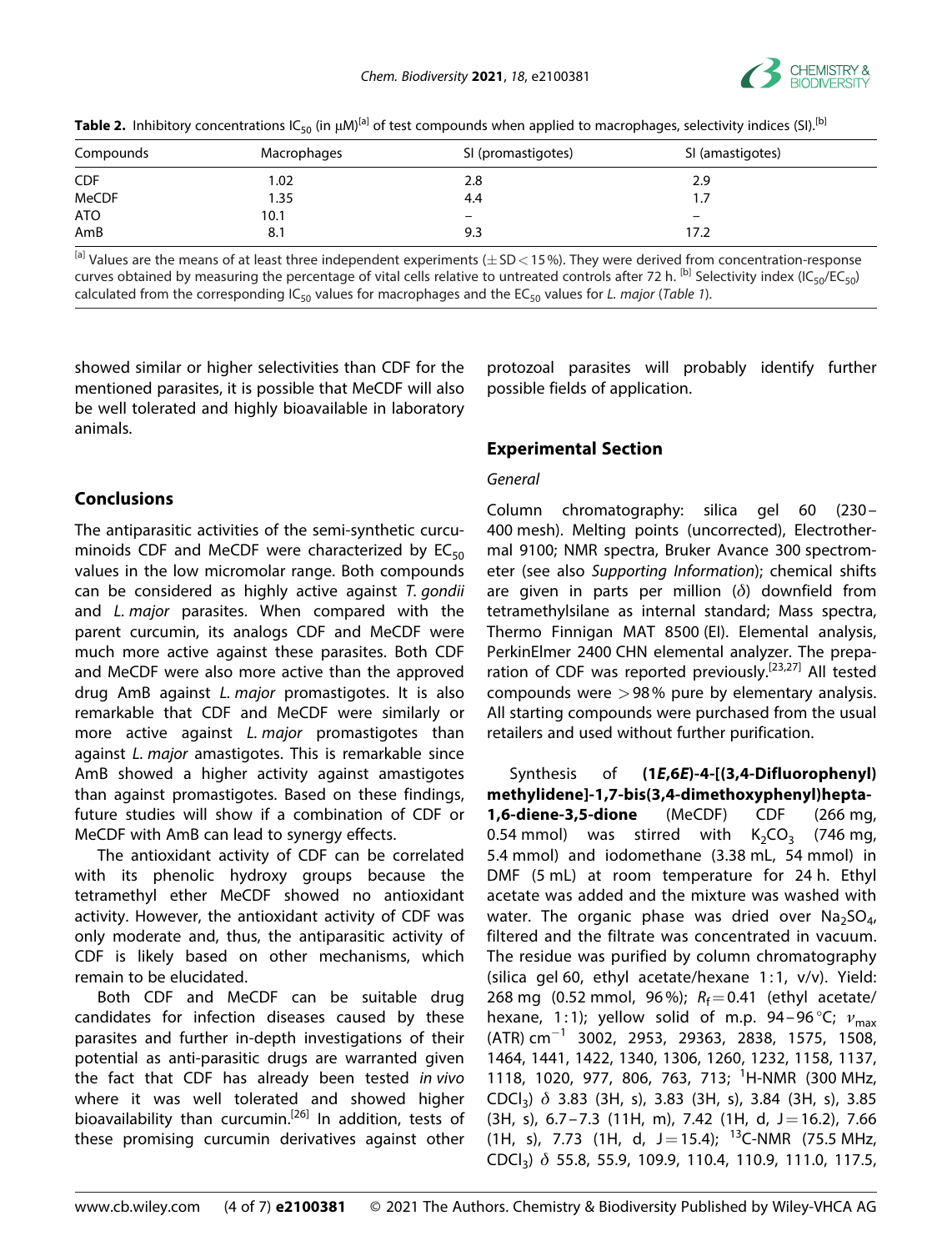

| <b>Table 2.</b> Inhibitory concentrations IC <sub>50</sub> (in $\mu$ M) <sup>[a]</sup> of test compounds when applied to macrophages, selectivity indices (SI). <sup>[b]</sup> |  |
|--------------------------------------------------------------------------------------------------------------------------------------------------------------------------------|--|
|--------------------------------------------------------------------------------------------------------------------------------------------------------------------------------|--|

| Compounds  | Macrophages | SI (promastigotes)       | SI (amastigotes)         |  |
|------------|-------------|--------------------------|--------------------------|--|
| <b>CDF</b> | 0.02        | 2.8                      | 2.9                      |  |
| MeCDF      | 1.35        | 4.4                      | 1.7                      |  |
| ATO        | 10.1        | $\overline{\phantom{0}}$ | $\overline{\phantom{m}}$ |  |
| AmB        | 8.1         | 9.3                      | 17.2                     |  |

[a] Values are the means of at least three independent experiments (�SD*<*15%). They were derived from concentration-response curves obtained by measuring the percentage of vital cells relative to untreated controls after 72 h. <sup>[b]</sup> Selectivity index (IC<sub>50</sub>/EC<sub>50</sub>) calculated from the corresponding  $IC_{50}$  values for macrophages and the  $EC_{50}$  values for *L. major* (*Table 1*).

showed similar or higher selectivities than CDF for the mentioned parasites, it is possible that MeCDF will also be well tolerated and highly bioavailable in laboratory animals.

# **Conclusions**

The antiparasitic activities of the semi-synthetic curcuminoids CDF and MeCDF were characterized by  $EC_{50}$ values in the low micromolar range. Both compounds can be considered as highly active against *T. gondii* and *L. major* parasites. When compared with the parent curcumin, its analogs CDF and MeCDF were much more active against these parasites. Both CDF and MeCDF were also more active than the approved drug AmB against *L. major* promastigotes. It is also remarkable that CDF and MeCDF were similarly or more active against *L. major* promastigotes than against *L. major* amastigotes. This is remarkable since AmB showed a higher activity against amastigotes than against promastigotes. Based on these findings, future studies will show if a combination of CDF or MeCDF with AmB can lead to synergy effects.

The antioxidant activity of CDF can be correlated with its phenolic hydroxy groups because the tetramethyl ether MeCDF showed no antioxidant activity. However, the antioxidant activity of CDF was only moderate and, thus, the antiparasitic activity of CDF is likely based on other mechanisms, which remain to be elucidated.

Both CDF and MeCDF can be suitable drug candidates for infection diseases caused by these parasites and further in-depth investigations of their potential as anti-parasitic drugs are warranted given the fact that CDF has already been tested *in vivo* where it was well tolerated and showed higher bioavailability than curcumin.<sup>[26]</sup> In addition, tests of these promising curcumin derivatives against other protozoal parasites will probably identify further possible fields of application.

## **Experimental Section**

#### *General*

Column chromatography: silica gel 60 (230– 400 mesh). Melting points (uncorrected), Electrothermal 9100; NMR spectra, Bruker Avance 300 spectrometer (see also *Supporting Information*); chemical shifts are given in parts per million (*δ*) downfield from tetramethylsilane as internal standard; Mass spectra, Thermo Finnigan MAT 8500 (EI). Elemental analysis, PerkinElmer 2400 CHN elemental analyzer. The preparation of CDF was reported previously.<sup>[23,27]</sup> All tested compounds were *>*98% pure by elementary analysis. All starting compounds were purchased from the usual retailers and used without further purification.

Synthesis of **(1***E***,6***E***)-4-[(3,4-Difluorophenyl) methylidene]-1,7-bis(3,4-dimethoxyphenyl)hepta-1,6-diene-3,5-dione** (MeCDF) CDF (266 mg, 0.54 mmol) was stirred with  $K_2CO_3$  (746 mg, 5.4 mmol) and iodomethane (3.38 mL, 54 mmol) in DMF (5 mL) at room temperature for 24 h. Ethyl acetate was added and the mixture was washed with water. The organic phase was dried over  $Na<sub>2</sub>SO<sub>4</sub>$ , filtered and the filtrate was concentrated in vacuum. The residue was purified by column chromatography (silica gel 60, ethyl acetate/hexane 1:1, v/v). Yield: 268 mg (0.52 mmol, 96%);  $R_f = 0.41$  (ethyl acetate/ hexane, 1:1); yellow solid of m.p. 94-96<sup>°</sup>C; ν<sub>max</sub>  $(ATR)$  cm<sup>-1</sup> 3002, 2953, 29363, 2838, 1575, 1508, 1464, 1441, 1422, 1340, 1306, 1260, 1232, 1158, 1137, 1118, 1020, 977, 806, 763, 713; <sup>1</sup> H-NMR (300 MHz, CDCl3) *δ* 3.83 (3H, s), 3.83 (3H, s), 3.84 (3H, s), 3.85  $(3H, s)$ , 6.7–7.3  $(11H, m)$ , 7.42  $(1H, d, J=16.2)$ , 7.66 (1H, s), 7.73 (1H, d, J = 15.4); <sup>13</sup>C-NMR (75.5 MHz, CDCl3) *δ* 55.8, 55.9, 109.9, 110.4, 110.9, 111.0, 117.5,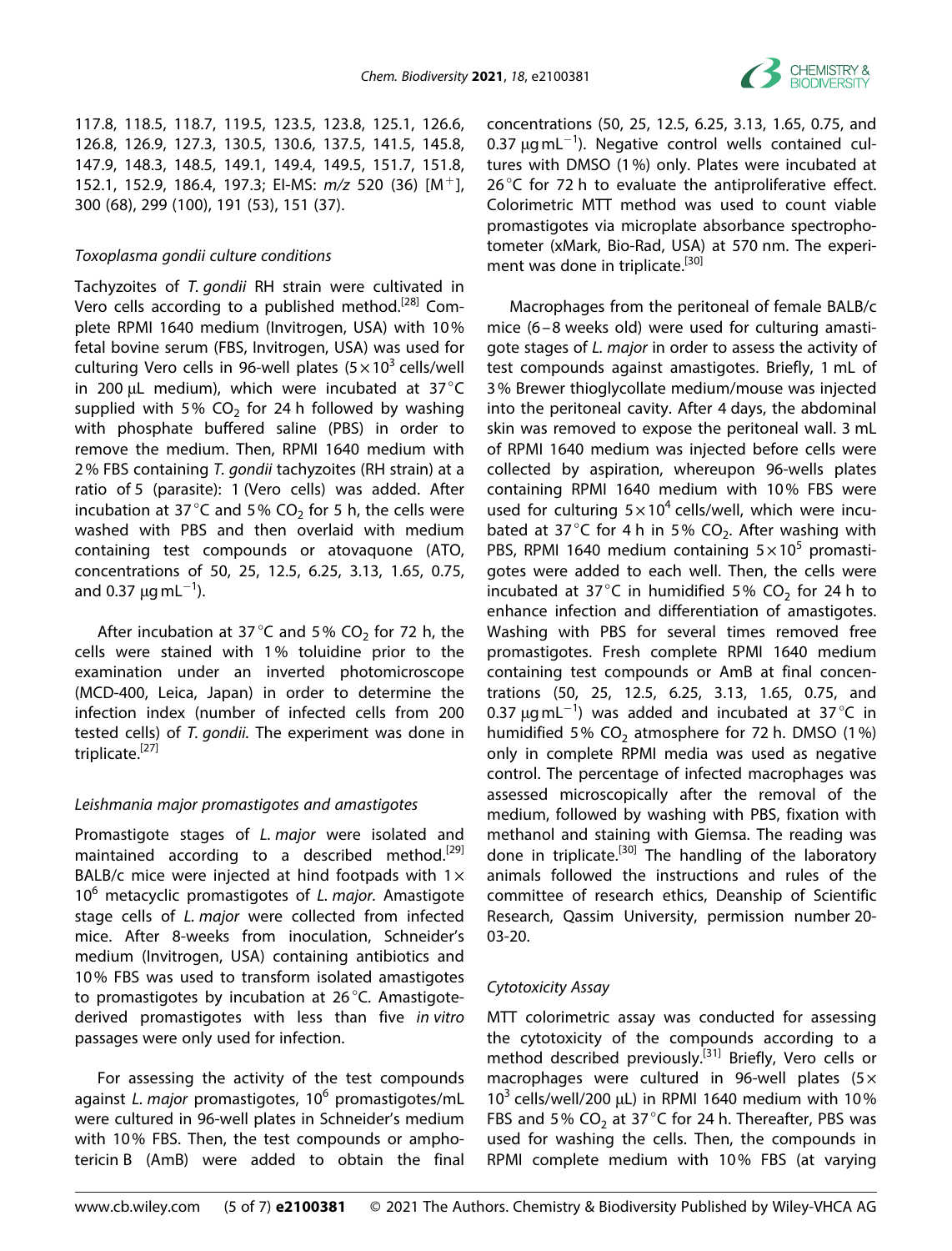

117.8, 118.5, 118.7, 119.5, 123.5, 123.8, 125.1, 126.6, 126.8, 126.9, 127.3, 130.5, 130.6, 137.5, 141.5, 145.8, 147.9, 148.3, 148.5, 149.1, 149.4, 149.5, 151.7, 151.8, 152.1, 152.9, 186.4, 197.3; EI-MS: *m/z* 520 (36) [M<sup>+</sup>], 300 (68), 299 (100), 191 (53), 151 (37).

#### *Toxoplasma gondii culture conditions*

Tachyzoites of *T. gondii* RH strain were cultivated in Vero cells according to a published method.<sup>[28]</sup> Complete RPMI 1640 medium (Invitrogen, USA) with 10% fetal bovine serum (FBS, Invitrogen, USA) was used for culturing Vero cells in 96-well plates ( $5 \times 10^3$  cells/well in 200 μL medium), which were incubated at 37°C supplied with 5%  $CO<sub>2</sub>$  for 24 h followed by washing with phosphate buffered saline (PBS) in order to remove the medium. Then, RPMI 1640 medium with 2% FBS containing *T. gondii* tachyzoites (RH strain) at a ratio of 5 (parasite): 1 (Vero cells) was added. After incubation at 37 $^{\circ}$ C and 5% CO<sub>2</sub> for 5 h, the cells were washed with PBS and then overlaid with medium containing test compounds or atovaquone (ATO, concentrations of 50, 25, 12.5, 6.25, 3.13, 1.65, 0.75, and 0.37  $\mu$ g mL $^{-1}$ ).

After incubation at 37 $^{\circ}$ C and 5% CO<sub>2</sub> for 72 h, the cells were stained with 1% toluidine prior to the examination under an inverted photomicroscope (MCD-400, Leica, Japan) in order to determine the infection index (number of infected cells from 200 tested cells) of *T. gondii.* The experiment was done in triplicate.<sup>[27]</sup>

#### *Leishmania major promastigotes and amastigotes*

Promastigote stages of *L. major* were isolated and maintained according to a described method.<sup>[29]</sup> BALB/c mice were injected at hind footpads with  $1 \times$ 106 metacyclic promastigotes of *L. major.* Amastigote stage cells of *L. major* were collected from infected mice. After 8-weeks from inoculation, Schneider's medium (Invitrogen, USA) containing antibiotics and 10% FBS was used to transform isolated amastigotes to promastigotes by incubation at 26°C. Amastigotederived promastigotes with less than five *in vitro* passages were only used for infection.

For assessing the activity of the test compounds against *L. major* promastigotes, 106 promastigotes/mL were cultured in 96-well plates in Schneider's medium with 10% FBS. Then, the test compounds or amphotericin B (AmB) were added to obtain the final

concentrations (50, 25, 12.5, 6.25, 3.13, 1.65, 0.75, and 0.37  $\mu$ gmL<sup>-1</sup>). Negative control wells contained cultures with DMSO (1%) only. Plates were incubated at 26 $\degree$ C for 72 h to evaluate the antiproliferative effect. Colorimetric MTT method was used to count viable promastigotes via microplate absorbance spectrophotometer (xMark, Bio-Rad, USA) at 570 nm. The experiment was done in triplicate.<sup>[30]</sup>

Macrophages from the peritoneal of female BALB/c mice (6–8 weeks old) were used for culturing amastigote stages of *L. major* in order to assess the activity of test compounds against amastigotes. Briefly, 1 mL of 3% Brewer thioglycollate medium/mouse was injected into the peritoneal cavity. After 4 days, the abdominal skin was removed to expose the peritoneal wall. 3 mL of RPMI 1640 medium was injected before cells were collected by aspiration, whereupon 96-wells plates containing RPMI 1640 medium with 10% FBS were used for culturing  $5 \times 10^4$  cells/well, which were incubated at 37 °C for 4 h in 5% CO<sub>2</sub>. After washing with PBS, RPMI 1640 medium containing  $5 \times 10^5$  promastigotes were added to each well. Then, the cells were incubated at 37 $^{\circ}$ C in humidified 5% CO<sub>2</sub> for 24 h to enhance infection and differentiation of amastigotes. Washing with PBS for several times removed free promastigotes. Fresh complete RPMI 1640 medium containing test compounds or AmB at final concentrations (50, 25, 12.5, 6.25, 3.13, 1.65, 0.75, and 0.37  $\mu$ gmL<sup>-1</sup>) was added and incubated at 37°C in humidified 5%  $CO<sub>2</sub>$  atmosphere for 72 h. DMSO (1%) only in complete RPMI media was used as negative control. The percentage of infected macrophages was assessed microscopically after the removal of the medium, followed by washing with PBS, fixation with methanol and staining with Giemsa. The reading was done in triplicate.[30] The handling of the laboratory animals followed the instructions and rules of the committee of research ethics, Deanship of Scientific Research, Qassim University, permission number 20- 03-20.

#### *Cytotoxicity Assay*

MTT colorimetric assay was conducted for assessing the cytotoxicity of the compounds according to a method described previously.<sup>[31]</sup> Briefly, Vero cells or macrophages were cultured in 96-well plates ( $5\times$  $10<sup>3</sup>$  cells/well/200 μL) in RPMI 1640 medium with 10% FBS and 5% CO<sub>2</sub> at 37 $^{\circ}$ C for 24 h. Thereafter, PBS was used for washing the cells. Then, the compounds in RPMI complete medium with 10% FBS (at varying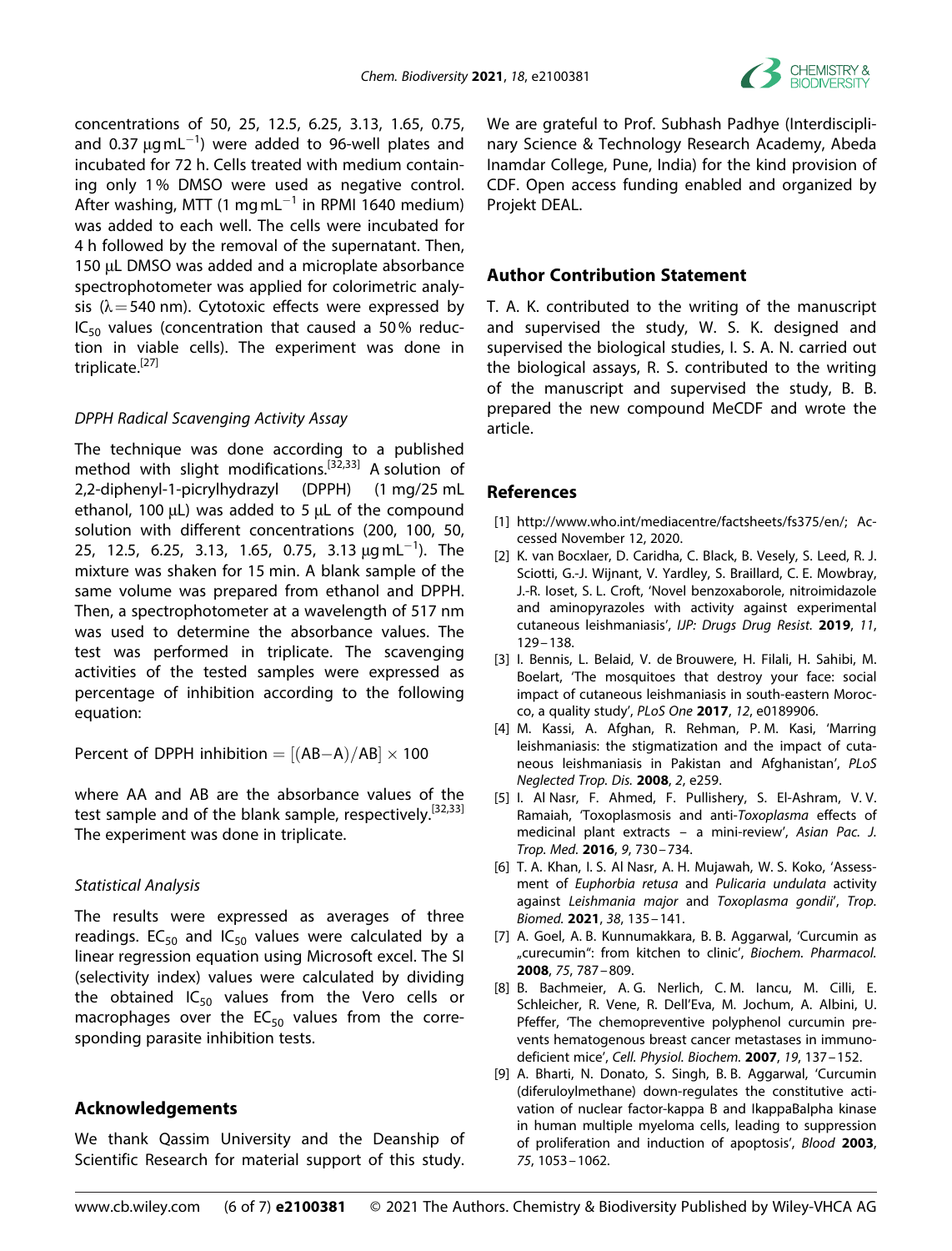

concentrations of 50, 25, 12.5, 6.25, 3.13, 1.65, 0.75, and 0.37  $\mu$ gmL<sup>-1</sup>) were added to 96-well plates and incubated for 72 h. Cells treated with medium containing only 1% DMSO were used as negative control. After washing, MTT (1 mg mL $^{-1}$  in RPMI 1640 medium) was added to each well. The cells were incubated for 4 h followed by the removal of the supernatant. Then, 150 μL DMSO was added and a microplate absorbance spectrophotometer was applied for colorimetric analysis ( $\lambda$  = 540 nm). Cytotoxic effects were expressed by  $IC_{50}$  values (concentration that caused a 50% reduction in viable cells). The experiment was done in triplicate. $[27]$ 

#### *DPPH Radical Scavenging Activity Assay*

The technique was done according to a published method with slight modifications.[32,33] A solution of 2,2-diphenyl-1-picrylhydrazyl (DPPH) (1 mg/25 mL ethanol, 100 μL) was added to 5 μL of the compound solution with different concentrations (200, 100, 50, 25, 12.5, 6.25, 3.13, 1.65, 0.75, 3.13  $\mu$ gmL $^{-1}$ ). The mixture was shaken for 15 min. A blank sample of the same volume was prepared from ethanol and DPPH. Then, a spectrophotometer at a wavelength of 517 nm was used to determine the absorbance values. The test was performed in triplicate. The scavenging activities of the tested samples were expressed as percentage of inhibition according to the following equation:

Percent of DPPH inhibition  $= [(AB-A)/AB] \times 100$ 

where AA and AB are the absorbance values of the test sample and of the blank sample, respectively.<sup>[32,33]</sup> The experiment was done in triplicate.

#### *Statistical Analysis*

The results were expressed as averages of three readings.  $EC_{50}$  and  $IC_{50}$  values were calculated by a linear regression equation using Microsoft excel. The SI (selectivity index) values were calculated by dividing the obtained  $IC_{50}$  values from the Vero cells or macrophages over the  $EC_{50}$  values from the corresponding parasite inhibition tests.

#### **Acknowledgements**

We thank Qassim University and the Deanship of Scientific Research for material support of this study.

We are grateful to Prof. Subhash Padhye (Interdisciplinary Science & Technology Research Academy, Abeda Inamdar College, Pune, India) for the kind provision of CDF. Open access funding enabled and organized by Projekt DEAL.

#### **Author Contribution Statement**

T. A. K. contributed to the writing of the manuscript and supervised the study, W. S. K. designed and supervised the biological studies, I. S. A. N. carried out the biological assays, R. S. contributed to the writing of the manuscript and supervised the study, B. B. prepared the new compound MeCDF and wrote the article.

#### **References**

- [1] <http://www.who.int/mediacentre/factsheets/fs375/en/>; Accessed November 12, 2020.
- [2] K. van Bocxlaer, D. Caridha, C. Black, B. Vesely, S. Leed, R. J. Sciotti, G.-J. Wijnant, V. Yardley, S. Braillard, C. E. Mowbray, J.-R. Ioset, S. L. Croft, 'Novel benzoxaborole, nitroimidazole and aminopyrazoles with activity against experimental cutaneous leishmaniasis', *IJP: Drugs Drug Resist.* **2019**, *11*, 129–138.
- [3] I. Bennis, L. Belaid, V. de Brouwere, H. Filali, H. Sahibi, M. Boelart, 'The mosquitoes that destroy your face: social impact of cutaneous leishmaniasis in south-eastern Morocco, a quality study', *PLoS One* **2017**, *12*, e0189906.
- [4] M. Kassi, A. Afghan, R. Rehman, P. M. Kasi, 'Marring leishmaniasis: the stigmatization and the impact of cutaneous leishmaniasis in Pakistan and Afghanistan', *PLoS Neglected Trop. Dis.* **2008**, *2*, e259.
- [5] I. Al Nasr, F. Ahmed, F. Pullishery, S. El-Ashram, V. V. Ramaiah, 'Toxoplasmosis and anti-*Toxoplasma* effects of medicinal plant extracts – a mini-review', *Asian Pac. J. Trop. Med.* **2016**, *9*, 730–734.
- [6] T. A. Khan, I. S. Al Nasr, A. H. Mujawah, W. S. Koko, 'Assessment of *Euphorbia retusa* and *Pulicaria undulata* activity against *Leishmania major* and *Toxoplasma gondii*', *Trop. Biomed.* **2021**, *38*, 135–141.
- [7] A. Goel, A. B. Kunnumakkara, B. B. Aggarwal, 'Curcumin as "curecumin": from kitchen to clinic', *Biochem. Pharmacol.* **2008**, *75*, 787–809.
- [8] B. Bachmeier, A. G. Nerlich, C. M. Iancu, M. Cilli, E. Schleicher, R. Vene, R. Dell'Eva, M. Jochum, A. Albini, U. Pfeffer, 'The chemopreventive polyphenol curcumin prevents hematogenous breast cancer metastases in immunodeficient mice', *Cell. Physiol. Biochem.* **2007**, *19*, 137–152.
- [9] A. Bharti, N. Donato, S. Singh, B. B. Aggarwal, 'Curcumin (diferuloylmethane) down-regulates the constitutive activation of nuclear factor-kappa B and IkappaBalpha kinase in human multiple myeloma cells, leading to suppression of proliferation and induction of apoptosis', *Blood* **2003**, *75*, 1053–1062.